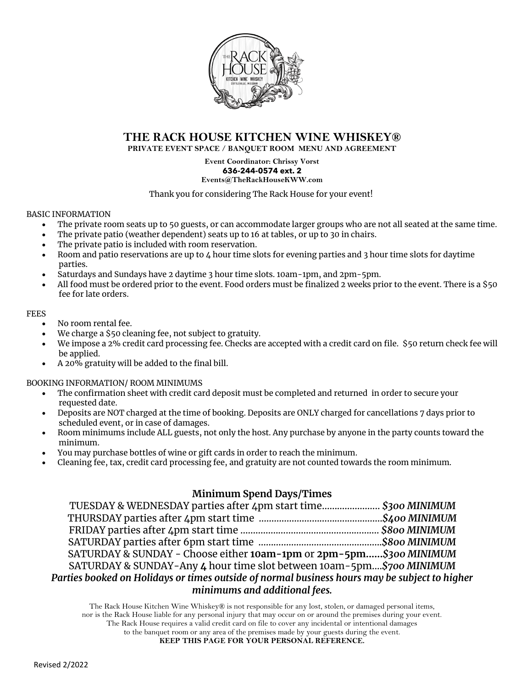

#### **THE RACK HOUSE KITCHEN WINE WHISKEY®**

**PRIVATE EVENT SPACE / BANQUET ROOM MENU AND AGREEMENT**

**Event Coordinator: Chrissy Vorst 636-244-0574 ext. 2 Events@TheRackHouseKWW.com**

Thank you for considering The Rack House for your event!

#### BASIC INFORMATION

- The private room seats up to 50 guests, or can accommodate larger groups who are not all seated at the same time.
- The private patio (weather dependent) seats up to 16 at tables, or up to 30 in chairs.
- The private patio is included with room reservation.
- Room and patio reservations are up to  $\mu$  hour time slots for evening parties and 3 hour time slots for daytime parties.
- Saturdays and Sundays have 2 daytime 3 hour time slots. 10am-1pm, and 2pm-5pm.
- All food must be ordered prior to the event. Food orders must be finalized 2 weeks prior to the event. There is a \$50 fee for late orders.

#### FEES

- No room rental fee.
- We charge a \$50 cleaning fee, not subject to gratuity.
- We impose a 2% credit card processing fee. Checks are accepted with a credit card on file. \$50 return check fee will be applied.
- A 20% gratuity will be added to the final bill.

BOOKING INFORMATION/ ROOM MINIMUMS

- The confirmation sheet with credit card deposit must be completed and returned in order to secure your requested date.
- Deposits are NOT charged at the time of booking. Deposits are ONLY charged for cancellations 7 days prior to scheduled event, or in case of damages.
- Room minimums include ALL guests, not only the host. Any purchase by anyone in the party counts toward the minimum.
- You may purchase bottles of wine or gift cards in order to reach the minimum.
- Cleaning fee, tax, credit card processing fee, and gratuity are not counted towards the room minimum.

#### **Minimum Spend Days/Times**

| TUESDAY & WEDNESDAY parties after 4pm start time \$300 MINIMUM                                |  |  |
|-----------------------------------------------------------------------------------------------|--|--|
|                                                                                               |  |  |
|                                                                                               |  |  |
|                                                                                               |  |  |
| SATURDAY & SUNDAY - Choose either 10am-1pm or 2pm-5pm\$300 MINIMUM                            |  |  |
| SATURDAY & SUNDAY-Any 4 hour time slot between 10am-5pm\$700 MINIMUM                          |  |  |
| Parties booked on Holidays or times outside of normal business hours may be subject to higher |  |  |
| minimums and additional fees.                                                                 |  |  |

The Rack House Kitchen Wine Whiskey® is not responsible for any lost, stolen, or damaged personal items, nor is the Rack House liable for any personal injury that may occur on or around the premises during your event. The Rack House requires a valid credit card on file to cover any incidental or intentional damages to the banquet room or any area of the premises made by your guests during the event. **KEEP THIS PAGE FOR YOUR PERSONAL REFERENCE.**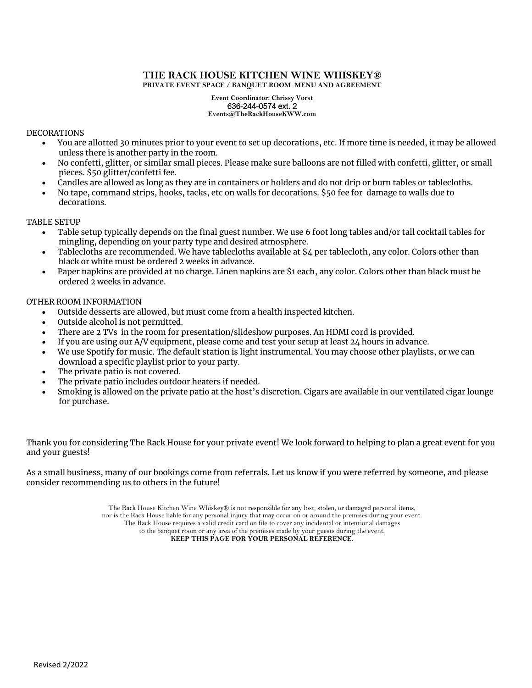#### **THE RACK HOUSE KITCHEN WINE WHISKEY® PRIVATE EVENT SPACE / BANQUET ROOM MENU AND AGREEMENT**

#### **Event Coordinator: Chrissy Vorst** 636-244-0574 ext. 2 **Events@TheRackHouseKWW.com**

#### DECORATIONS

- You are allotted 30 minutes prior to your event to set up decorations, etc. If more time is needed, it may be allowed unless there is another party in the room.
- No confetti, glitter, or similar small pieces. Please make sure balloons are not filled with confetti, glitter, or small pieces. \$50 glitter/confetti fee.
- Candles are allowed as long as they are in containers or holders and do not drip or burn tables or tablecloths.
- No tape, command strips, hooks, tacks, etc on walls for decorations. \$50 fee for damage to walls due to decorations.

#### TABLE SETUP

- Table setup typically depends on the final guest number. We use 6 foot long tables and/or tall cocktail tables for mingling, depending on your party type and desired atmosphere.
- Tablecloths are recommended. We have tablecloths available at \$4 per tablecloth, any color. Colors other than black or white must be ordered 2 weeks in advance.
- Paper napkins are provided at no charge. Linen napkins are \$1 each, any color. Colors other than black must be ordered 2 weeks in advance.

#### OTHER ROOM INFORMATION

- Outside desserts are allowed, but must come from a health inspected kitchen.
- Outside alcohol is not permitted.
- There are 2 TVs in the room for presentation/slideshow purposes. An HDMI cord is provided.
- If you are using our A/V equipment, please come and test your setup at least 24 hours in advance.
- We use Spotify for music. The default station is light instrumental. You may choose other playlists, or we can download a specific playlist prior to your party.
- The private patio is not covered.
- The private patio includes outdoor heaters if needed.
- Smoking is allowed on the private patio at the host's discretion. Cigars are available in our ventilated cigar lounge for purchase.

Thank you for considering The Rack House for your private event! We look forward to helping to plan a great event for you and your guests!

As a small business, many of our bookings come from referrals. Let us know if you were referred by someone, and please consider recommending us to others in the future!

> The Rack House Kitchen Wine Whiskey® is not responsible for any lost, stolen, or damaged personal items, nor is the Rack House liable for any personal injury that may occur on or around the premises during your event. The Rack House requires a valid credit card on file to cover any incidental or intentional damages to the banquet room or any area of the premises made by your guests during the event.

**KEEP THIS PAGE FOR YOUR PERSONAL REFERENCE.**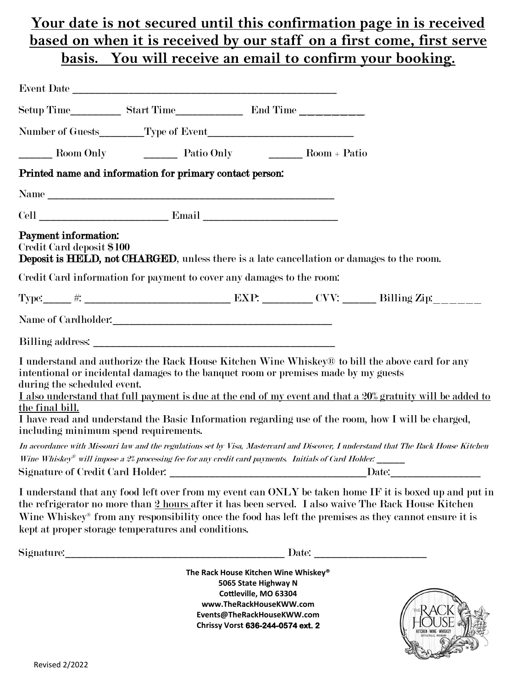## **Your date is not secured until this confirmation page in is received based on when it is received by our staff on a first come, first serve basis. You will receive an email to confirm your booking.**

|                                                                                         | Room Only Patio Only Patio Only Room + Patio                          |                                                                                                                                                                                                                                                                                                                                                                                                           |
|-----------------------------------------------------------------------------------------|-----------------------------------------------------------------------|-----------------------------------------------------------------------------------------------------------------------------------------------------------------------------------------------------------------------------------------------------------------------------------------------------------------------------------------------------------------------------------------------------------|
|                                                                                         | Printed name and information for primary contact person:              |                                                                                                                                                                                                                                                                                                                                                                                                           |
|                                                                                         |                                                                       |                                                                                                                                                                                                                                                                                                                                                                                                           |
|                                                                                         |                                                                       |                                                                                                                                                                                                                                                                                                                                                                                                           |
| Payment information:<br>Credit Card deposit \$100                                       |                                                                       | <b>Deposit is HELD, not CHARGED</b> , unless there is a late cancellation or damages to the room.                                                                                                                                                                                                                                                                                                         |
|                                                                                         | Credit Card information for payment to cover any damages to the room: |                                                                                                                                                                                                                                                                                                                                                                                                           |
|                                                                                         |                                                                       | Type: $\qquad \qquad \#$ .                                                                                                                                                                                                                                                                                                                                                                                |
|                                                                                         |                                                                       |                                                                                                                                                                                                                                                                                                                                                                                                           |
|                                                                                         |                                                                       |                                                                                                                                                                                                                                                                                                                                                                                                           |
| during the scheduled event.<br>the final bill.<br>including minimum spend requirements. |                                                                       | I understand and authorize the Rack House Kitchen Wine Whiskey® to bill the above card for any<br>intentional or incidental damages to the banquet room or premises made by my guests<br>I also understand that full payment is due at the end of my event and that a 20% gratuity will be added to<br>I have read and understand the Basic Information regarding use of the room, how I will be charged, |
|                                                                                         |                                                                       | In accordance with Missouri law and the regulations set by Visa, Mastercard and Discover, I understand that The Rack House Kitchen                                                                                                                                                                                                                                                                        |
|                                                                                         |                                                                       | Wine Whiskey <sup>®</sup> will impose a $2\%$ processing fee for any credit card payments. Initials of Card Holder: ______                                                                                                                                                                                                                                                                                |
| Signature of Credit Card Holder:                                                        |                                                                       | Date:                                                                                                                                                                                                                                                                                                                                                                                                     |
|                                                                                         | kept at proper storage temperatures and conditions.                   | I understand that any food left over from my event can ONLY be taken home IF it is boxed up and put in<br>the refrigerator no more than 2 hours after it has been served. I also waive The Rack House Kitchen<br>Wine Whiskey <sup>®</sup> from any responsibility once the food has left the premises as they cannot ensure it is                                                                        |

Signature:\_\_\_\_\_\_\_\_\_\_\_\_\_\_\_\_\_\_\_\_\_\_\_\_\_\_\_\_\_\_\_\_\_\_\_\_\_\_\_ Date: \_\_\_\_\_\_\_\_\_\_\_\_\_\_\_\_\_\_\_\_

**The Rack House Kitchen Wine Whiskey® 5065 State Highway N Cottleville, MO 63304 www.TheRackHouseKWW.com Events@TheRackHouseKWW.com Chrissy Vorst 636-244-0574 ext. 2**

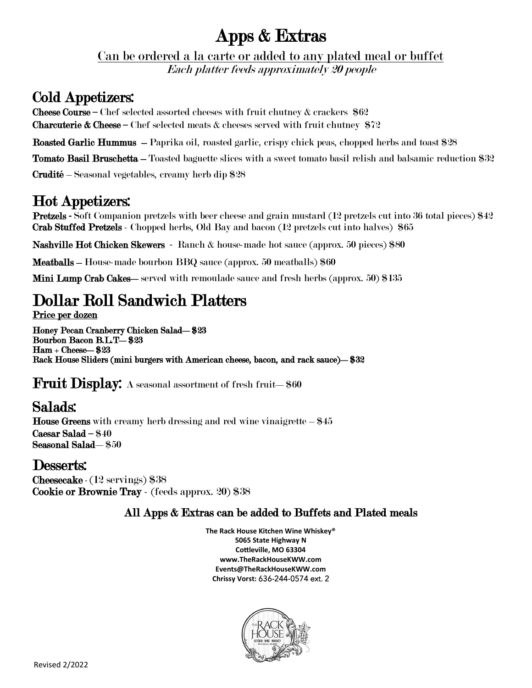# Apps & Extras

Can be ordered a la carte or added to any plated meal or buffet

Each platter feeds approximately 20 people

# Cold Appetizers:

**Cheese Course** – Chef selected assorted cheeses with fruit chutney  $\&$  crackers  $\$62$ **Charcuterie & Cheese** – Chef selected meats & cheeses served with fruit chutney  $$72$ 

Roasted Garlic Hummus – Paprika oil, roasted garlic, crispy chick peas, chopped herbs and toast \$28

Tomato Basil Bruschetta – Toasted baguette slices with a sweet tomato basil relish and balsamic reduction \$32

Crudité – Seasonal vegetables, creamy herb dip \$28

# Hot Appetizers:

Pretzels **-** Soft Companion pretzels with beer cheese and grain mustard (12 pretzels cut into 36 total pieces) \$42 Crab Stuffed Pretzels - Chopped herbs, Old Bay and bacon (12 pretzels cut into halves) \$65

Nashville Hot Chicken Skewers - Ranch & house-made hot sauce (approx. 50 pieces) \$80

Meatballs – House-made bourbon BBQ sauce (approx. 50 meatballs) \$60

Mini Lump Crab Cakes—served with remoulade sauce and fresh herbs (approx. 50) \$135

# Dollar Roll Sandwich Platters

Price per dozen

Honey Pecan Cranberry Chicken Salad—\$23 Bourbon Bacon B.L.T—\$23 Ham + Cheese—\$23 Rack House Sliders (mini burgers with American cheese, bacon, and rack sauce)—\$32

Fruit Display: A seasonal assortment of fresh fruit-\$60

# Salads:

**House Greens** with creamy herb dressing and red wine vinaigrette  $-$  \$45 Caesar Salad – \$40 Seasonal Salad—\$50

## Desserts:

Cheesecake- (12 servings) \$38 Cookie or Brownie Tray - (feeds approx. 20) \$38

### All Apps & Extras can be added to Buffets and Plated meals

**The Rack House Kitchen Wine Whiskey® 5065 State Highway N Cottleville, MO 63304 www.TheRackHouseKWW.com Events@TheRackHouseKWW.com Chrissy Vorst:** 636-244-0574 ext. 2

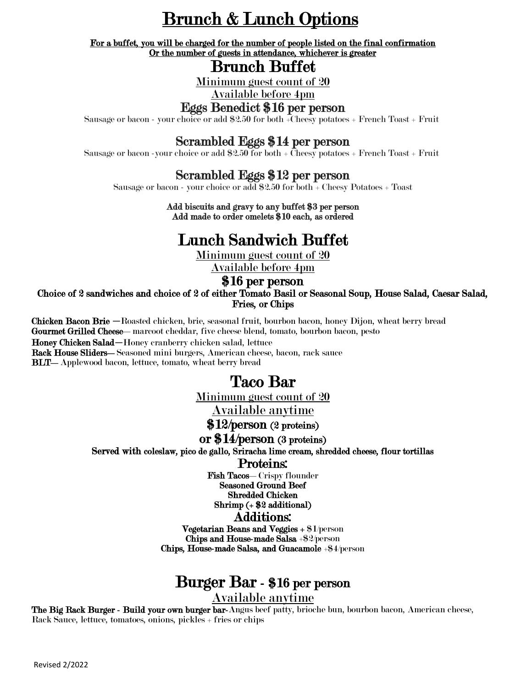# Brunch & Lunch Options

For a buffet, you will be charged for the number of people listed on the final confirmation Or the number of guests in attendance, whichever is greater

## Brunch Buffet

Minimum guest count of 20

Available before 4pm

#### Eggs Benedict \$16 per person

Sausage or bacon - your choice or add \$2.50 for both +Cheesy potatoes + French Toast + Fruit

### Scrambled Eggs \$14 per person

Sausage or bacon -your choice or add  $\$2.50$  for both +  $\overline{\text{Cheesy}}$  potatoes + French Toast + Fruit

### Scrambled Eggs \$12 per person

Sausage or bacon - your choice or add \$2.50 for both + Cheesy Potatoes + Toast

Add biscuits and gravy to any buffet \$3 per person Add made to order omelets \$10 each, as ordered

# Lunch Sandwich Buffet

Minimum guest count of 20

Available before 4pm

#### \$16 per person

Choice of 2 sandwiches and choice of 2 of either Tomato Basil or Seasonal Soup, House Salad, Caesar Salad, Fries, or Chips

Chicken Bacon Brie —Roasted chicken, brie, seasonal fruit, bourbon bacon, honey Dijon, wheat berry bread Gourmet Grilled Cheese—marcoot cheddar, five cheese blend, tomato, bourbon bacon, pesto Honey Chicken Salad—Honey cranberry chicken salad, lettuce

Rack House Sliders—Seasoned mini burgers, American cheese, bacon, rack sauce

BLT—Applewood bacon, lettuce, tomato, wheat berry bread

## Taco Bar

Minimum guest count of 20

Available anytime

\$12/person (2 proteins)

#### or \$14/person (3 proteins)

Served with coleslaw, pico de gallo, Sriracha lime cream, shredded cheese, flour tortillas

Proteins:

Fish Tacos—Crispy flounder Seasoned Ground Beef Shredded Chicken Shrimp (+ \$2 additional) Additions:

Vegetarian Beans and Veggies + \$1/person Chips and House-made Salsa +\$2/person Chips, House-made Salsa, and Guacamole +\$4/person

# Burger Bar - \$16 per person

Available anytime

The Big Rack Burger - Build your own burger bar-Angus beef patty, brioche bun, bourbon bacon, American cheese, Rack Sauce, lettuce, tomatoes, onions, pickles + fries or chips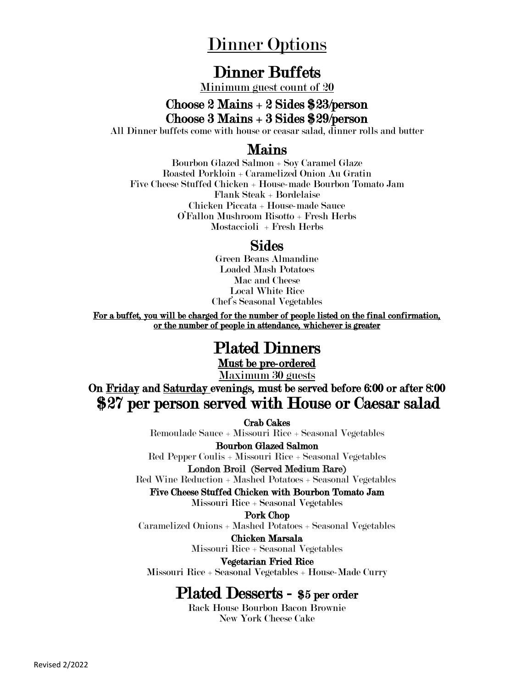# Dinner Options

## Dinner Buffets

Minimum guest count of 20

### Choose 2 Mains + 2 Sides \$23/person Choose 3 Mains + 3 Sides \$29/person

All Dinner buffets come with house or ceasar salad, dinner rolls and butter

### Mains

Bourbon Glazed Salmon + Soy Caramel Glaze Roasted Porkloin + Caramelized Onion Au Gratin Five Cheese Stuffed Chicken + House-made Bourbon Tomato Jam Flank Steak + Bordelaise Chicken Piccata + House-made Sauce O'Fallon Mushroom Risotto + Fresh Herbs Mostaccioli + Fresh Herbs

### Sides

Green Beans Almandine Loaded Mash Potatoes Mac and Cheese Local White Rice Chef's Seasonal Vegetables

For a buffet, you will be charged for the number of people listed on the final confirmation, or the number of people in attendance, whichever is greater

## Plated Dinners

Must be pre-ordered

Maximum 30 guests

On Friday and Saturday evenings, must be served before 6:00 or after 8:00 \$27 per person served with House or Caesar salad

Crab Cakes

Remoulade Sauce + Missouri Rice + Seasonal Vegetables

Bourbon Glazed Salmon

Red Pepper Coulis + Missouri Rice + Seasonal Vegetables London Broil (Served Medium Rare)

Red Wine Reduction + Mashed Potatoes + Seasonal Vegetables

Five Cheese Stuffed Chicken with Bourbon Tomato Jam

Missouri Rice + Seasonal Vegetables

Pork Chop

Caramelized Onions + Mashed Potatoes + Seasonal Vegetables

Chicken Marsala Missouri Rice + Seasonal Vegetables

Vegetarian Fried Rice Missouri Rice + Seasonal Vegetables + House-Made Curry

## Plated Desserts - \$5 per order

Rack House Bourbon Bacon Brownie New York Cheese Cake